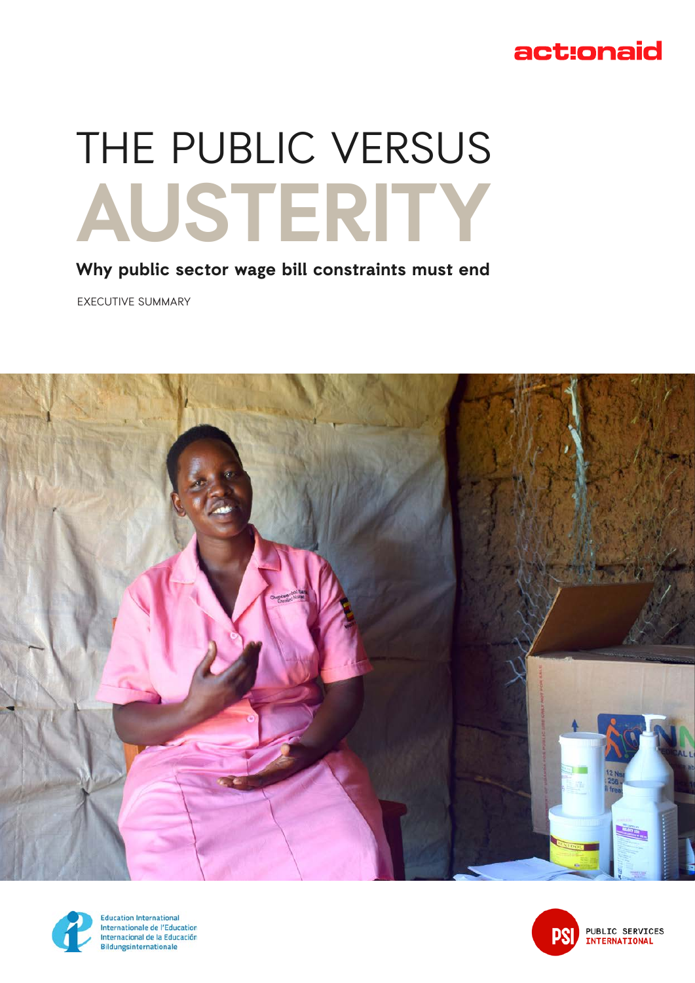# act:onaid

# THE PUBLIC VERSUS **AUSTERITY**

## **Why public sector wage bill constraints must end**

EXECUTIVE SUMMARY





**Education International** Internationale de l'Education Internacional de la Educación Bildungsinternationale

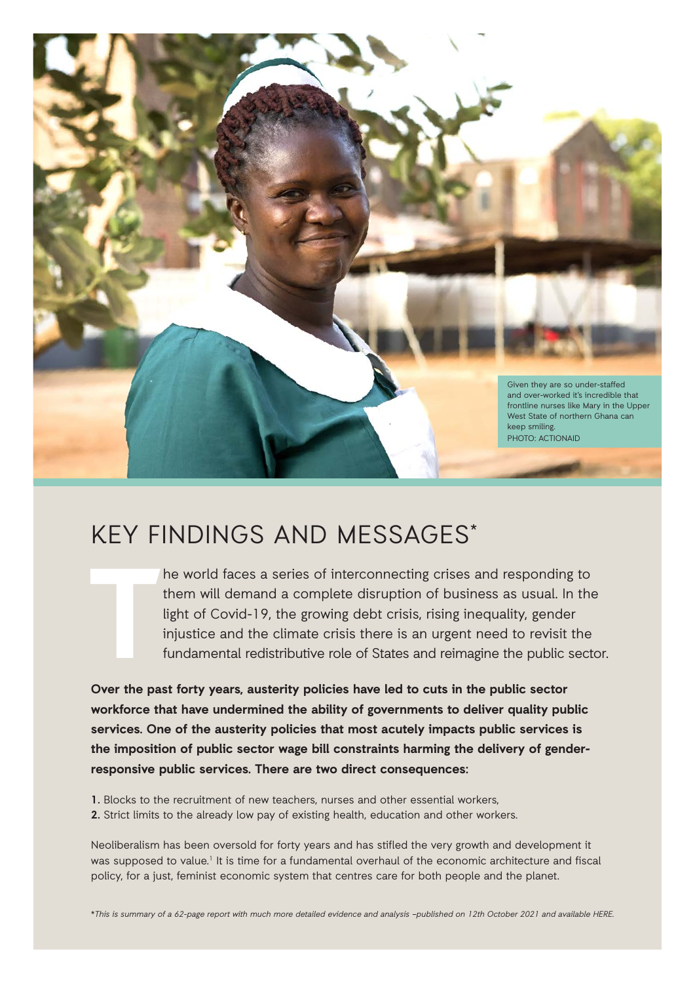

# KEY FINDINGS AND MESSAGES\*

**T**

he world faces a series of interconnecting crises and responding to them will demand a complete disruption of business as usual. In the light of Covid-19, the growing debt crisis, rising inequality, gender injustice and the climate crisis there is an urgent need to revisit the fundamental redistributive role of States and reimagine the public sector.

**Over the past forty years, austerity policies have led to cuts in the public sector workforce that have undermined the ability of governments to deliver quality public services. One of the austerity policies that most acutely impacts public services is the imposition of public sector wage bill constraints harming the delivery of genderresponsive public services. There are two direct consequences:** 

- **1.** Blocks to the recruitment of new teachers, nurses and other essential workers,
- **2.** Strict limits to the already low pay of existing health, education and other workers.

Neoliberalism has been oversold for forty years and has stifled the very growth and development it was supposed to value.<sup>1</sup> It is time for a fundamental overhaul of the economic architecture and fiscal policy, for a just, feminist economic system that centres care for both people and the planet.

\*This is summary of a 62-page report with much more detailed evidence and analysis –published on 12th October 2021 and available HERE.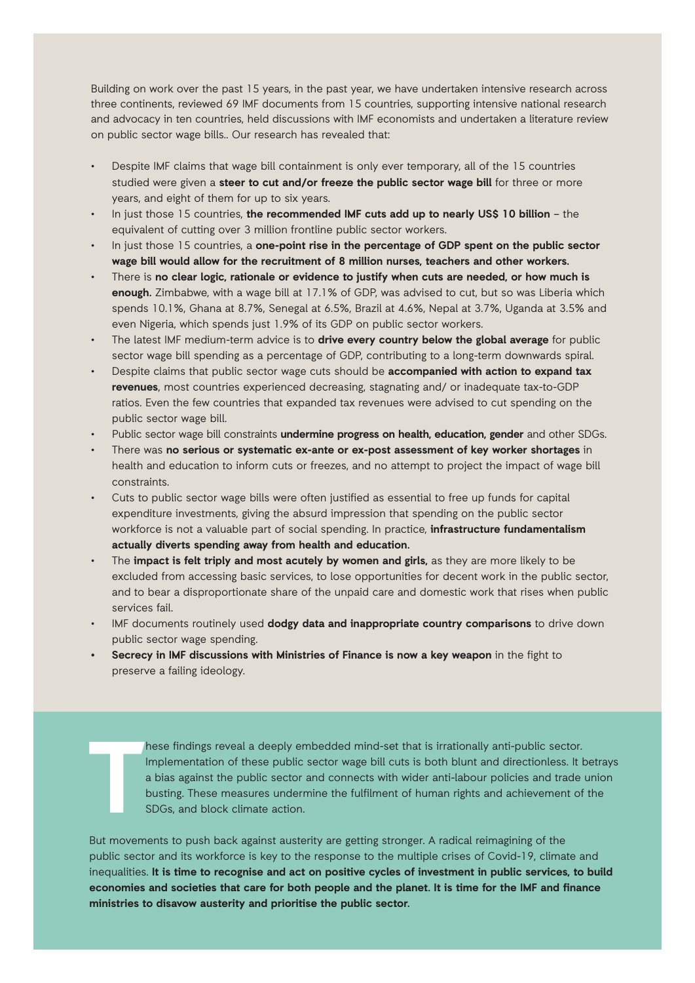Building on work over the past 15 years, in the past year, we have undertaken intensive research across three continents, reviewed 69 IMF documents from 15 countries, supporting intensive national research and advocacy in ten countries, held discussions with IMF economists and undertaken a literature review on public sector wage bills.. Our research has revealed that:

- Despite IMF claims that wage bill containment is only ever temporary, all of the 15 countries studied were given a **steer to cut and/or freeze the public sector wage bill** for three or more years, and eight of them for up to six years.
- In just those 15 countries, **the recommended IMF cuts add up to nearly US\$ 10 billion** the equivalent of cutting over 3 million frontline public sector workers.
- In just those 15 countries, a **one-point rise in the percentage of GDP spent on the public sector wage bill would allow for the recruitment of 8 million nurses, teachers and other workers.**
- There is **no clear logic, rationale or evidence to justify when cuts are needed, or how much is enough.** Zimbabwe, with a wage bill at 17.1% of GDP, was advised to cut, but so was Liberia which spends 10.1%, Ghana at 8.7%, Senegal at 6.5%, Brazil at 4.6%, Nepal at 3.7%, Uganda at 3.5% and even Nigeria, which spends just 1.9% of its GDP on public sector workers.
- The latest IMF medium-term advice is to **drive every country below the global average** for public sector wage bill spending as a percentage of GDP, contributing to a long-term downwards spiral.
- Despite claims that public sector wage cuts should be **accompanied with action to expand tax revenues**, most countries experienced decreasing, stagnating and/ or inadequate tax-to-GDP ratios. Even the few countries that expanded tax revenues were advised to cut spending on the public sector wage bill.
- Public sector wage bill constraints **undermine progress on health, education, gender** and other SDGs.
- There was **no serious or systematic ex-ante or ex-post assessment of key worker shortages** in health and education to inform cuts or freezes, and no attempt to project the impact of wage bill constraints.
- Cuts to public sector wage bills were often justified as essential to free up funds for capital expenditure investments, giving the absurd impression that spending on the public sector workforce is not a valuable part of social spending. In practice, **infrastructure fundamentalism actually diverts spending away from health and education.**
- The **impact is felt triply and most acutely by women and girls,** as they are more likely to be excluded from accessing basic services, to lose opportunities for decent work in the public sector, and to bear a disproportionate share of the unpaid care and domestic work that rises when public services fail.
- IMF documents routinely used **dodgy data and inappropriate country comparisons** to drive down public sector wage spending.
- **• Secrecy in IMF discussions with Ministries of Finance is now a key weapon** in the fight to preserve a failing ideology.

**T** hese findings reveal a deeply embedded mind-set that is irrationally anti-public sector. Implementation of these public sector wage bill cuts is both blunt and directionless. It betrays a bias against the public sector and connects with wider anti-labour policies and trade union busting. These measures undermine the fulfilment of human rights and achievement of the SDGs, and block climate action.

But movements to push back against austerity are getting stronger. A radical reimagining of the public sector and its workforce is key to the response to the multiple crises of Covid-19, climate and inequalities. **It is time to recognise and act on positive cycles of investment in public services, to build economies and societies that care for both people and the planet. It is time for the IMF and finance ministries to disavow austerity and prioritise the public sector.**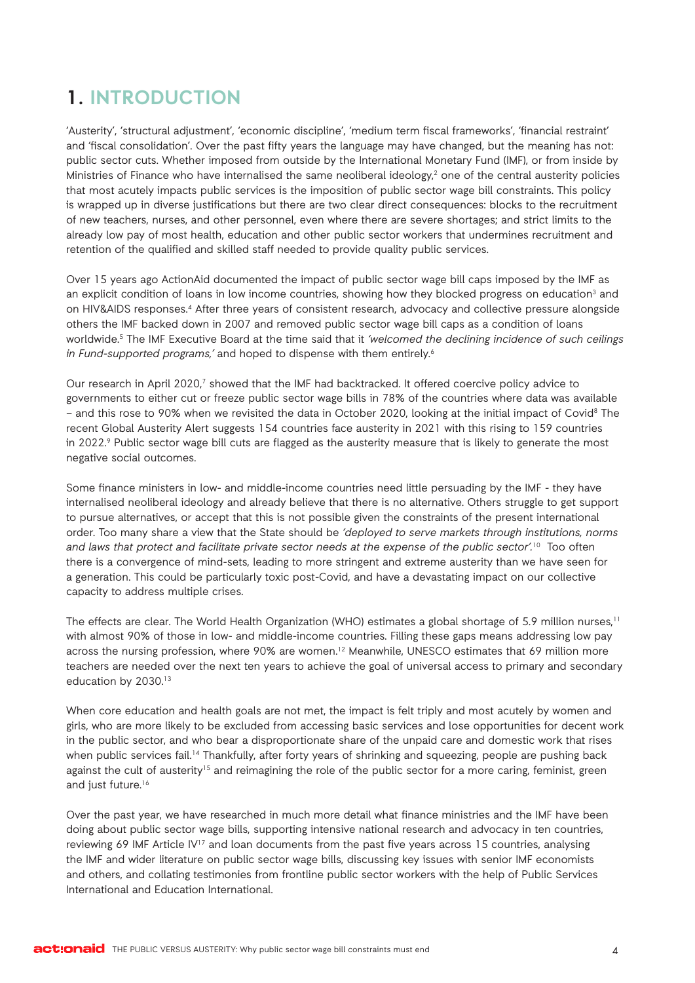## **1. INTRODUCTION**

'Austerity', 'structural adjustment', 'economic discipline', 'medium term fiscal frameworks', 'financial restraint' and 'fiscal consolidation'. Over the past fifty years the language may have changed, but the meaning has not: public sector cuts. Whether imposed from outside by the International Monetary Fund (IMF), or from inside by Ministries of Finance who have internalised the same neoliberal ideology,<sup>2</sup> one of the central austerity policies that most acutely impacts public services is the imposition of public sector wage bill constraints. This policy is wrapped up in diverse justifications but there are two clear direct consequences: blocks to the recruitment of new teachers, nurses, and other personnel, even where there are severe shortages; and strict limits to the already low pay of most health, education and other public sector workers that undermines recruitment and retention of the qualified and skilled staff needed to provide quality public services.

Over 15 years ago ActionAid documented the impact of public sector wage bill caps imposed by the IMF as an explicit condition of loans in low income countries, showing how they blocked progress on education<sup>3</sup> and on HIV&AIDS responses.4 After three years of consistent research, advocacy and collective pressure alongside others the IMF backed down in 2007 and removed public sector wage bill caps as a condition of loans worldwide.<sup>5</sup> The IMF Executive Board at the time said that it 'welcomed the declining incidence of such ceilings in Fund-supported programs,' and hoped to dispense with them entirely.<sup>6</sup>

Our research in April 2020,<sup>7</sup> showed that the IMF had backtracked. It offered coercive policy advice to governments to either cut or freeze public sector wage bills in 78% of the countries where data was available – and this rose to 90% when we revisited the data in October 2020, looking at the initial impact of Covid8 The recent Global Austerity Alert suggests 154 countries face austerity in 2021 with this rising to 159 countries in 2022.<sup>9</sup> Public sector wage bill cuts are flagged as the austerity measure that is likely to generate the most negative social outcomes.

Some finance ministers in low- and middle-income countries need little persuading by the IMF - they have internalised neoliberal ideology and already believe that there is no alternative. Others struggle to get support to pursue alternatives, or accept that this is not possible given the constraints of the present international order. Too many share a view that the State should be 'deployed to serve markets through institutions, norms and laws that protect and facilitate private sector needs at the expense of the public sector'.<sup>10</sup> Too often there is a convergence of mind-sets, leading to more stringent and extreme austerity than we have seen for a generation. This could be particularly toxic post-Covid, and have a devastating impact on our collective capacity to address multiple crises.

The effects are clear. The World Health Organization (WHO) estimates a global shortage of 5.9 million nurses.<sup>11</sup> with almost 90% of those in low- and middle-income countries. Filling these gaps means addressing low pay across the nursing profession, where 90% are women.<sup>12</sup> Meanwhile, UNESCO estimates that 69 million more teachers are needed over the next ten years to achieve the goal of universal access to primary and secondary education by 2030.<sup>13</sup>

When core education and health goals are not met, the impact is felt triply and most acutely by women and girls, who are more likely to be excluded from accessing basic services and lose opportunities for decent work in the public sector, and who bear a disproportionate share of the unpaid care and domestic work that rises when public services fail.<sup>14</sup> Thankfully, after forty years of shrinking and squeezing, people are pushing back against the cult of austerity<sup>15</sup> and reimagining the role of the public sector for a more caring, feminist, green and just future.<sup>16</sup>

Over the past year, we have researched in much more detail what finance ministries and the IMF have been doing about public sector wage bills, supporting intensive national research and advocacy in ten countries, reviewing 69 IMF Article IV<sup>17</sup> and loan documents from the past five years across 15 countries, analysing the IMF and wider literature on public sector wage bills, discussing key issues with senior IMF economists and others, and collating testimonies from frontline public sector workers with the help of Public Services International and Education International.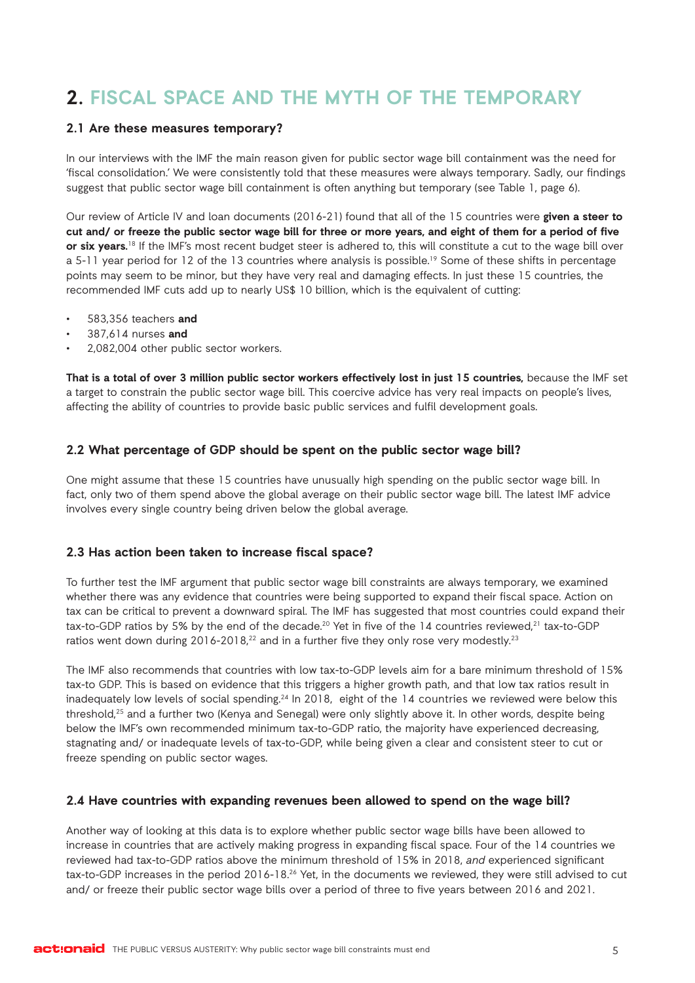## **2. FISCAL SPACE AND THE MYTH OF THE TEMPORARY**

#### **2.1 Are these measures temporary?**

In our interviews with the IMF the main reason given for public sector wage bill containment was the need for 'fiscal consolidation.' We were consistently told that these measures were always temporary. Sadly, our findings suggest that public sector wage bill containment is often anything but temporary (see Table 1, page 6).

Our review of Article IV and loan documents (2016-21) found that all of the 15 countries were **given a steer to cut and/ or freeze the public sector wage bill for three or more years, and eight of them for a period of five or six years.**<sup>18</sup> If the IMF's most recent budget steer is adhered to, this will constitute a cut to the wage bill over a 5-11 year period for 12 of the 13 countries where analysis is possible.<sup>19</sup> Some of these shifts in percentage points may seem to be minor, but they have very real and damaging effects. In just these 15 countries, the recommended IMF cuts add up to nearly US\$ 10 billion, which is the equivalent of cutting:

- 583,356 teachers **and**
- 387,614 nurses **and**
- 2,082,004 other public sector workers.

**That is a total of over 3 million public sector workers effectively lost in just 15 countries,** because the IMF set a target to constrain the public sector wage bill. This coercive advice has very real impacts on people's lives, affecting the ability of countries to provide basic public services and fulfil development goals.

#### **2.2 What percentage of GDP should be spent on the public sector wage bill?**

One might assume that these 15 countries have unusually high spending on the public sector wage bill. In fact, only two of them spend above the global average on their public sector wage bill. The latest IMF advice involves every single country being driven below the global average.

#### **2.3 Has action been taken to increase fiscal space?**

To further test the IMF argument that public sector wage bill constraints are always temporary, we examined whether there was any evidence that countries were being supported to expand their fiscal space. Action on tax can be critical to prevent a downward spiral. The IMF has suggested that most countries could expand their tax-to-GDP ratios by 5% by the end of the decade.<sup>20</sup> Yet in five of the 14 countries reviewed,<sup>21</sup> tax-to-GDP ratios went down during 2016-2018, $^{22}$  and in a further five they only rose very modestly. $^{23}$ 

The IMF also recommends that countries with low tax-to-GDP levels aim for a bare minimum threshold of 15% tax-to GDP. This is based on evidence that this triggers a higher growth path, and that low tax ratios result in inadequately low levels of social spending.<sup>24</sup> In 2018, eight of the 14 countries we reviewed were below this threshold,25 and a further two (Kenya and Senegal) were only slightly above it. In other words, despite being below the IMF's own recommended minimum tax-to-GDP ratio, the majority have experienced decreasing, stagnating and/ or inadequate levels of tax-to-GDP, while being given a clear and consistent steer to cut or freeze spending on public sector wages.

#### **2.4 Have countries with expanding revenues been allowed to spend on the wage bill?**

Another way of looking at this data is to explore whether public sector wage bills have been allowed to increase in countries that are actively making progress in expanding fiscal space. Four of the 14 countries we reviewed had tax-to-GDP ratios above the minimum threshold of 15% in 2018, and experienced significant tax-to-GDP increases in the period 2016-18.26 Yet, in the documents we reviewed, they were still advised to cut and/ or freeze their public sector wage bills over a period of three to five years between 2016 and 2021.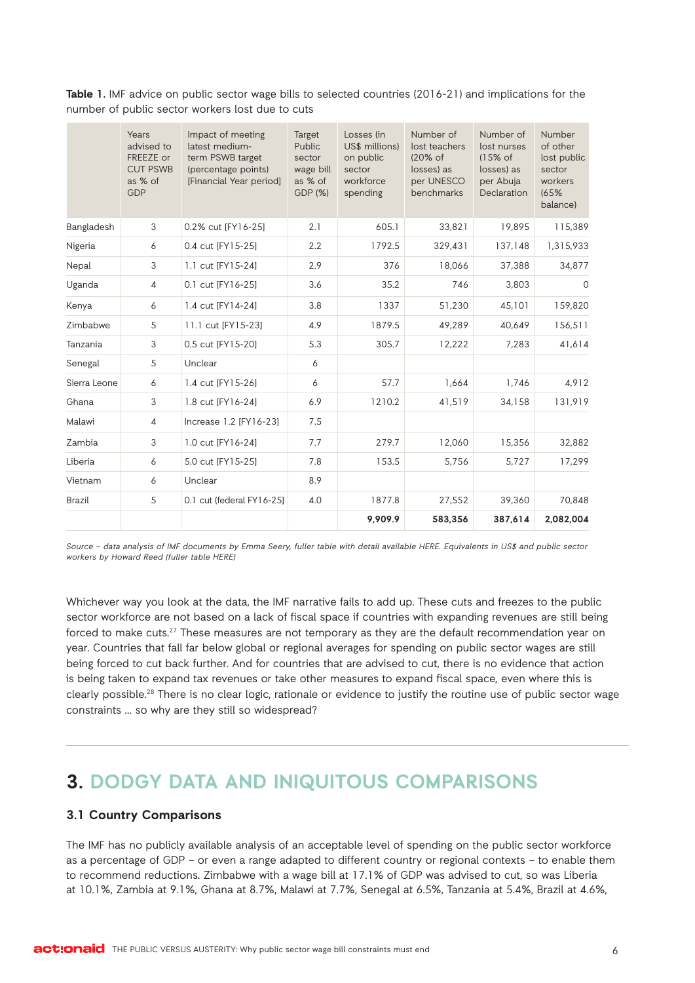|               | Years<br>advised to<br>FREEZE or<br><b>CUT PSWB</b><br>as % of<br>GDP | Impact of meeting<br>latest medium-<br>term PSWB target<br>(percentage points)<br>[Financial Year period] | Target<br>Public<br>sector<br>wage bill<br>as % of<br>GDP (%) | Losses (in<br>US\$ millions)<br>on public<br>sector<br>workforce<br>spending | Number of<br>lost teachers<br>(20% of<br>losses) as<br>per UNESCO<br>benchmarks | Number of<br>lost nurses<br>$(15%$ of<br>losses) as<br>per Abuja<br>Declaration | Number<br>of other<br>lost public<br>sector<br>workers<br>(65%<br>balance) |
|---------------|-----------------------------------------------------------------------|-----------------------------------------------------------------------------------------------------------|---------------------------------------------------------------|------------------------------------------------------------------------------|---------------------------------------------------------------------------------|---------------------------------------------------------------------------------|----------------------------------------------------------------------------|
| Bangladesh    | 3                                                                     | 0.2% cut [FY16-25]                                                                                        | 2.1                                                           | 605.1                                                                        | 33,821                                                                          | 19.895                                                                          | 115,389                                                                    |
| Nigeria       | 6                                                                     | 0.4 cut [FY15-25]                                                                                         | 2.2                                                           | 1792.5                                                                       | 329,431                                                                         | 137,148                                                                         | 1,315,933                                                                  |
| Nepal         | 3                                                                     | 1.1 cut [FY15-24]                                                                                         | 2.9                                                           | 376                                                                          | 18,066                                                                          | 37,388                                                                          | 34,877                                                                     |
| Uganda        | $\overline{4}$                                                        | 0.1 cut [FY16-25]                                                                                         | 3.6                                                           | 35.2                                                                         | 746                                                                             | 3,803                                                                           | $\mathbf 0$                                                                |
| Kenya         | 6                                                                     | 1.4 cut [FY14-24]                                                                                         | 3.8                                                           | 1337                                                                         | 51,230                                                                          | 45,101                                                                          | 159,820                                                                    |
| Zimbabwe      | 5                                                                     | 11.1 cut [FY15-23]                                                                                        | 4.9                                                           | 1879.5                                                                       | 49,289                                                                          | 40,649                                                                          | 156,511                                                                    |
| Tanzania      | 3                                                                     | 0.5 cut [FY15-20]                                                                                         | 5.3                                                           | 305.7                                                                        | 12,222                                                                          | 7,283                                                                           | 41,614                                                                     |
| Senegal       | 5                                                                     | Unclear                                                                                                   | 6                                                             |                                                                              |                                                                                 |                                                                                 |                                                                            |
| Sierra Leone  | 6                                                                     | 1.4 cut [FY15-26]                                                                                         | 6                                                             | 57.7                                                                         | 1,664                                                                           | 1,746                                                                           | 4,912                                                                      |
| Ghana         | 3                                                                     | 1.8 cut [FY16-24]                                                                                         | 6.9                                                           | 1210.2                                                                       | 41,519                                                                          | 34,158                                                                          | 131,919                                                                    |
| Malawi        | $\overline{4}$                                                        | Increase 1.2 [FY16-23]                                                                                    | 7.5                                                           |                                                                              |                                                                                 |                                                                                 |                                                                            |
| Zambia        | 3                                                                     | 1.0 cut [FY16-24]                                                                                         | 7.7                                                           | 279.7                                                                        | 12,060                                                                          | 15,356                                                                          | 32,882                                                                     |
| Liberia       | 6                                                                     | 5.0 cut [FY15-25]                                                                                         | 7.8                                                           | 153.5                                                                        | 5,756                                                                           | 5,727                                                                           | 17,299                                                                     |
| Vietnam       | 6                                                                     | Unclear                                                                                                   | 8.9                                                           |                                                                              |                                                                                 |                                                                                 |                                                                            |
| <b>Brazil</b> | 5                                                                     | 0.1 cut (federal FY16-25]                                                                                 | 4.0                                                           | 1877.8                                                                       | 27,552                                                                          | 39,360                                                                          | 70,848                                                                     |
|               |                                                                       |                                                                                                           |                                                               | 9,909.9                                                                      | 583,356                                                                         | 387,614                                                                         | 2,082,004                                                                  |

**Table 1.** IMF advice on public sector wage bills to selected countries (2016-21) and implications for the number of public sector workers lost due to cuts

Source – data analysis of IMF documents by Emma Seery, fuller table with detail available HERE. Equivalents in US\$ and public sector workers by Howard Reed (fuller table HERE)

Whichever way you look at the data, the IMF narrative fails to add up. These cuts and freezes to the public sector workforce are not based on a lack of fiscal space if countries with expanding revenues are still being forced to make cuts.27 These measures are not temporary as they are the default recommendation year on year. Countries that fall far below global or regional averages for spending on public sector wages are still being forced to cut back further. And for countries that are advised to cut, there is no evidence that action is being taken to expand tax revenues or take other measures to expand fiscal space, even where this is clearly possible.28 There is no clear logic, rationale or evidence to justify the routine use of public sector wage constraints … so why are they still so widespread?

## **3. DODGY DATA AND INIQUITOUS COMPARISONS**

#### **3.1 Country Comparisons**

The IMF has no publicly available analysis of an acceptable level of spending on the public sector workforce as a percentage of GDP – or even a range adapted to different country or regional contexts – to enable them to recommend reductions. Zimbabwe with a wage bill at 17.1% of GDP was advised to cut, so was Liberia at 10.1%, Zambia at 9.1%, Ghana at 8.7%, Malawi at 7.7%, Senegal at 6.5%, Tanzania at 5.4%, Brazil at 4.6%,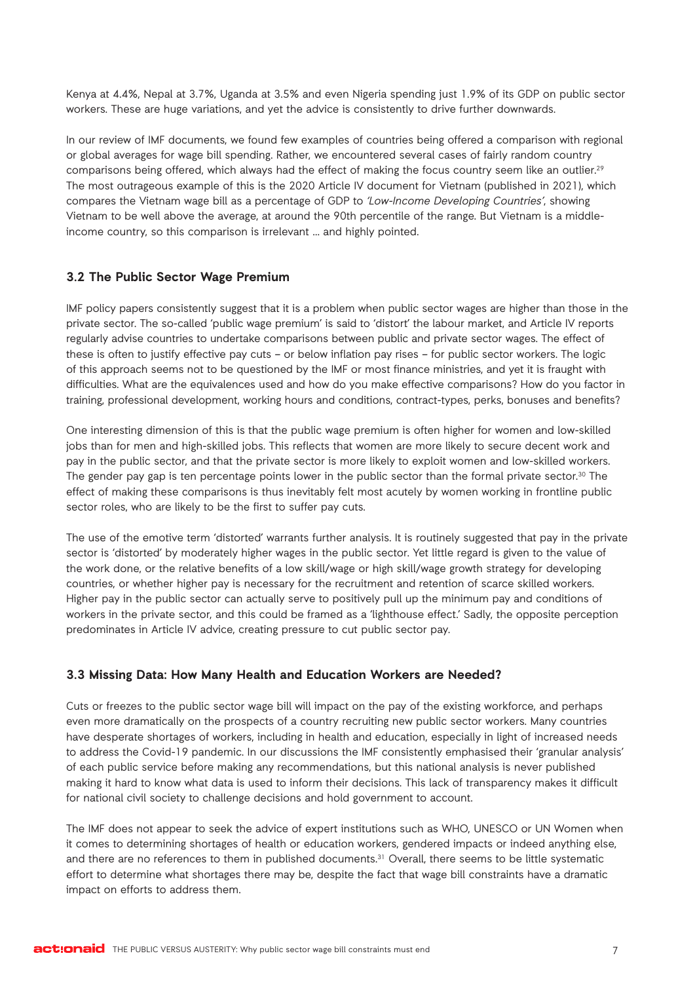Kenya at 4.4%, Nepal at 3.7%, Uganda at 3.5% and even Nigeria spending just 1.9% of its GDP on public sector workers. These are huge variations, and yet the advice is consistently to drive further downwards.

In our review of IMF documents, we found few examples of countries being offered a comparison with regional or global averages for wage bill spending. Rather, we encountered several cases of fairly random country comparisons being offered, which always had the effect of making the focus country seem like an outlier.<sup>29</sup> The most outrageous example of this is the 2020 Article IV document for Vietnam (published in 2021), which compares the Vietnam wage bill as a percentage of GDP to 'Low-Income Developing Countries', showing Vietnam to be well above the average, at around the 90th percentile of the range. But Vietnam is a middleincome country, so this comparison is irrelevant … and highly pointed.

#### **3.2 The Public Sector Wage Premium**

IMF policy papers consistently suggest that it is a problem when public sector wages are higher than those in the private sector. The so-called 'public wage premium' is said to 'distort' the labour market, and Article IV reports regularly advise countries to undertake comparisons between public and private sector wages. The effect of these is often to justify effective pay cuts – or below inflation pay rises – for public sector workers. The logic of this approach seems not to be questioned by the IMF or most finance ministries, and yet it is fraught with difficulties. What are the equivalences used and how do you make effective comparisons? How do you factor in training, professional development, working hours and conditions, contract-types, perks, bonuses and benefits?

One interesting dimension of this is that the public wage premium is often higher for women and low-skilled jobs than for men and high-skilled jobs. This reflects that women are more likely to secure decent work and pay in the public sector, and that the private sector is more likely to exploit women and low-skilled workers. The gender pay gap is ten percentage points lower in the public sector than the formal private sector.<sup>30</sup> The effect of making these comparisons is thus inevitably felt most acutely by women working in frontline public sector roles, who are likely to be the first to suffer pay cuts.

The use of the emotive term 'distorted' warrants further analysis. It is routinely suggested that pay in the private sector is 'distorted' by moderately higher wages in the public sector. Yet little regard is given to the value of the work done, or the relative benefits of a low skill/wage or high skill/wage growth strategy for developing countries, or whether higher pay is necessary for the recruitment and retention of scarce skilled workers. Higher pay in the public sector can actually serve to positively pull up the minimum pay and conditions of workers in the private sector, and this could be framed as a 'lighthouse effect.' Sadly, the opposite perception predominates in Article IV advice, creating pressure to cut public sector pay.

## **3.3 Missing Data: How Many Health and Education Workers are Needed?**

Cuts or freezes to the public sector wage bill will impact on the pay of the existing workforce, and perhaps even more dramatically on the prospects of a country recruiting new public sector workers. Many countries have desperate shortages of workers, including in health and education, especially in light of increased needs to address the Covid-19 pandemic. In our discussions the IMF consistently emphasised their 'granular analysis' of each public service before making any recommendations, but this national analysis is never published making it hard to know what data is used to inform their decisions. This lack of transparency makes it difficult for national civil society to challenge decisions and hold government to account.

The IMF does not appear to seek the advice of expert institutions such as WHO, UNESCO or UN Women when it comes to determining shortages of health or education workers, gendered impacts or indeed anything else, and there are no references to them in published documents.<sup>31</sup> Overall, there seems to be little systematic effort to determine what shortages there may be, despite the fact that wage bill constraints have a dramatic impact on efforts to address them.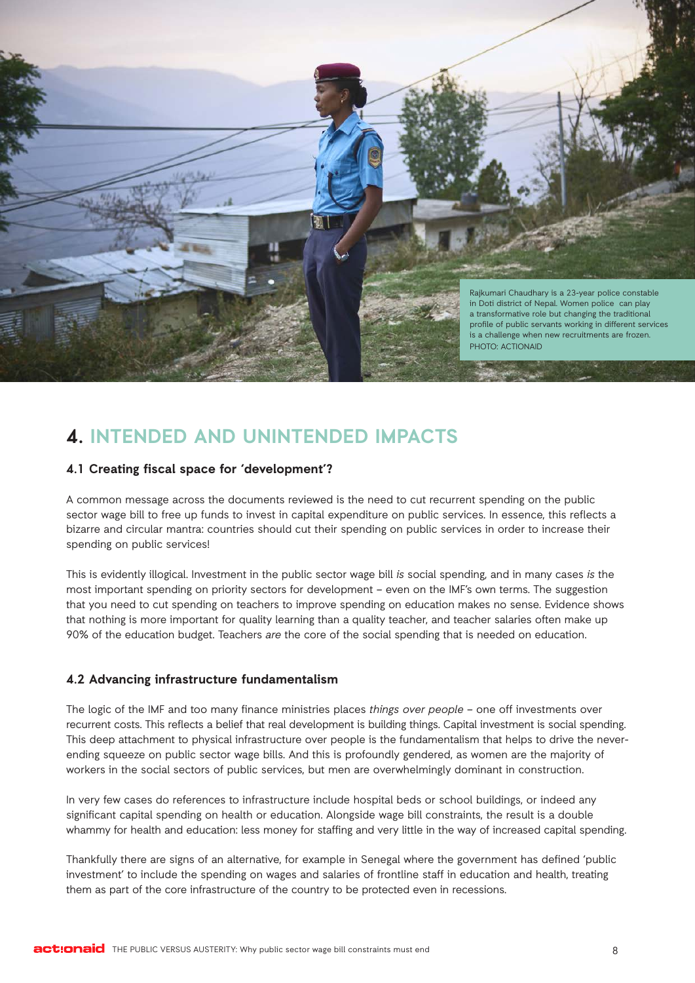

## **4. INTENDED AND UNINTENDED IMPACTS**

## **4.1 Creating fiscal space for 'development'?**

A common message across the documents reviewed is the need to cut recurrent spending on the public sector wage bill to free up funds to invest in capital expenditure on public services. In essence, this reflects a bizarre and circular mantra: countries should cut their spending on public services in order to increase their spending on public services!

This is evidently illogical. Investment in the public sector wage bill is social spending, and in many cases is the most important spending on priority sectors for development – even on the IMF's own terms. The suggestion that you need to cut spending on teachers to improve spending on education makes no sense. Evidence shows that nothing is more important for quality learning than a quality teacher, and teacher salaries often make up 90% of the education budget. Teachers are the core of the social spending that is needed on education.

#### **4.2 Advancing infrastructure fundamentalism**

The logic of the IMF and too many finance ministries places things over people – one off investments over recurrent costs. This reflects a belief that real development is building things. Capital investment is social spending. This deep attachment to physical infrastructure over people is the fundamentalism that helps to drive the neverending squeeze on public sector wage bills. And this is profoundly gendered, as women are the majority of workers in the social sectors of public services, but men are overwhelmingly dominant in construction.

In very few cases do references to infrastructure include hospital beds or school buildings, or indeed any significant capital spending on health or education. Alongside wage bill constraints, the result is a double whammy for health and education: less money for staffing and very little in the way of increased capital spending.

Thankfully there are signs of an alternative, for example in Senegal where the government has defined 'public investment' to include the spending on wages and salaries of frontline staff in education and health, treating them as part of the core infrastructure of the country to be protected even in recessions.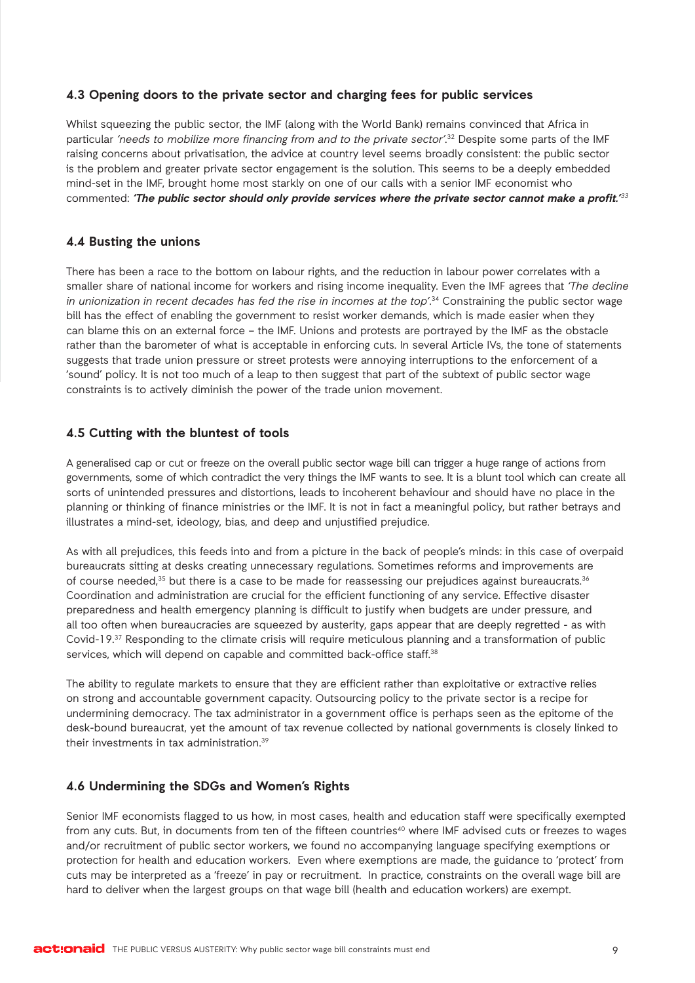## **4.3 Opening doors to the private sector and charging fees for public services**

Whilst squeezing the public sector, the IMF (along with the World Bank) remains convinced that Africa in particular 'needs to mobilize more financing from and to the private sector'.<sup>32</sup> Despite some parts of the IMF raising concerns about privatisation, the advice at country level seems broadly consistent: the public sector is the problem and greater private sector engagement is the solution. This seems to be a deeply embedded mind-set in the IMF, brought home most starkly on one of our calls with a senior IMF economist who commented: **'The public sector should only provide services where the private sector cannot make a profit.'**<sup>33</sup>

#### **4.4 Busting the unions**

There has been a race to the bottom on labour rights, and the reduction in labour power correlates with a smaller share of national income for workers and rising income inequality. Even the IMF agrees that 'The decline in unionization in recent decades has fed the rise in incomes at the top<sup>'34</sup> Constraining the public sector wage bill has the effect of enabling the government to resist worker demands, which is made easier when they can blame this on an external force – the IMF. Unions and protests are portrayed by the IMF as the obstacle rather than the barometer of what is acceptable in enforcing cuts. In several Article IVs, the tone of statements suggests that trade union pressure or street protests were annoying interruptions to the enforcement of a 'sound' policy. It is not too much of a leap to then suggest that part of the subtext of public sector wage constraints is to actively diminish the power of the trade union movement.

## **4.5 Cutting with the bluntest of tools**

A generalised cap or cut or freeze on the overall public sector wage bill can trigger a huge range of actions from governments, some of which contradict the very things the IMF wants to see. It is a blunt tool which can create all sorts of unintended pressures and distortions, leads to incoherent behaviour and should have no place in the planning or thinking of finance ministries or the IMF. It is not in fact a meaningful policy, but rather betrays and illustrates a mind-set, ideology, bias, and deep and unjustified prejudice.

As with all prejudices, this feeds into and from a picture in the back of people's minds: in this case of overpaid bureaucrats sitting at desks creating unnecessary regulations. Sometimes reforms and improvements are of course needed,<sup>35</sup> but there is a case to be made for reassessing our prejudices against bureaucrats.<sup>36</sup> Coordination and administration are crucial for the efficient functioning of any service. Effective disaster preparedness and health emergency planning is difficult to justify when budgets are under pressure, and all too often when bureaucracies are squeezed by austerity, gaps appear that are deeply regretted - as with Covid-19.37 Responding to the climate crisis will require meticulous planning and a transformation of public services, which will depend on capable and committed back-office staff.<sup>38</sup>

The ability to regulate markets to ensure that they are efficient rather than exploitative or extractive relies on strong and accountable government capacity. Outsourcing policy to the private sector is a recipe for undermining democracy. The tax administrator in a government office is perhaps seen as the epitome of the desk-bound bureaucrat, yet the amount of tax revenue collected by national governments is closely linked to their investments in tax administration.39

#### **4.6 Undermining the SDGs and Women's Rights**

Senior IMF economists flagged to us how, in most cases, health and education staff were specifically exempted from any cuts. But, in documents from ten of the fifteen countries<sup>40</sup> where IMF advised cuts or freezes to wages and/or recruitment of public sector workers, we found no accompanying language specifying exemptions or protection for health and education workers. Even where exemptions are made, the guidance to 'protect' from cuts may be interpreted as a 'freeze' in pay or recruitment. In practice, constraints on the overall wage bill are hard to deliver when the largest groups on that wage bill (health and education workers) are exempt.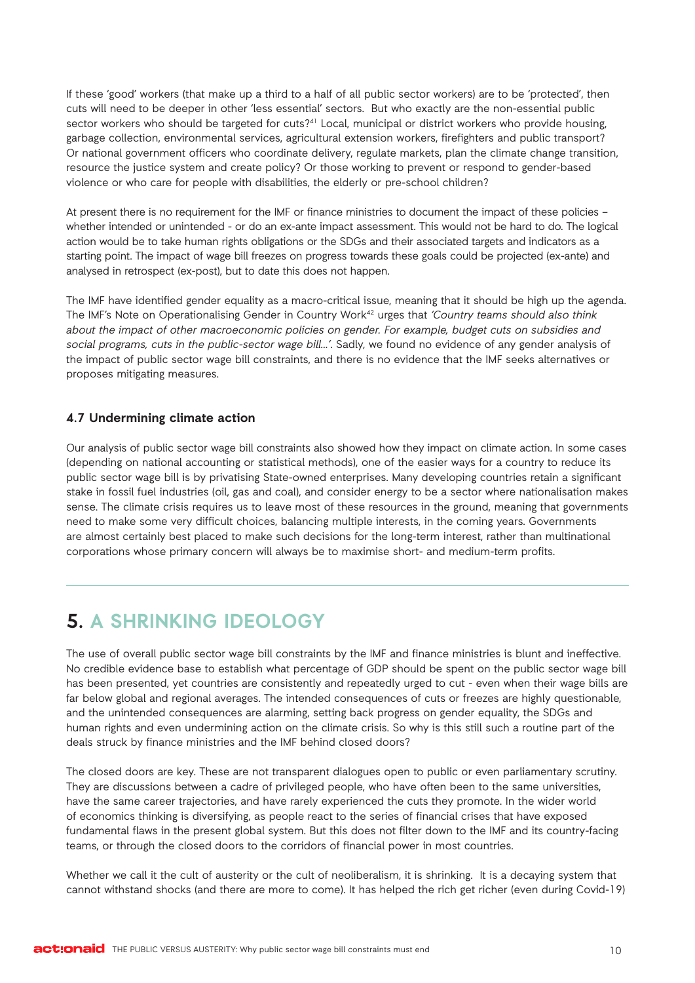If these 'good' workers (that make up a third to a half of all public sector workers) are to be 'protected', then cuts will need to be deeper in other 'less essential' sectors. But who exactly are the non-essential public sector workers who should be targeted for cuts?<sup>41</sup> Local, municipal or district workers who provide housing, garbage collection, environmental services, agricultural extension workers, firefighters and public transport? Or national government officers who coordinate delivery, regulate markets, plan the climate change transition, resource the justice system and create policy? Or those working to prevent or respond to gender-based violence or who care for people with disabilities, the elderly or pre-school children?

At present there is no requirement for the IMF or finance ministries to document the impact of these policies – whether intended or unintended - or do an ex-ante impact assessment. This would not be hard to do. The logical action would be to take human rights obligations or the SDGs and their associated targets and indicators as a starting point. The impact of wage bill freezes on progress towards these goals could be projected (ex-ante) and analysed in retrospect (ex-post), but to date this does not happen.

The IMF have identified gender equality as a macro-critical issue, meaning that it should be high up the agenda. The IMF's Note on Operationalising Gender in Country Work<sup>42</sup> urges that 'Country teams should also think about the impact of other macroeconomic policies on gender. For example, budget cuts on subsidies and social programs, cuts in the public-sector wage bill...'. Sadly, we found no evidence of any gender analysis of the impact of public sector wage bill constraints, and there is no evidence that the IMF seeks alternatives or proposes mitigating measures.

#### **4.7 Undermining climate action**

Our analysis of public sector wage bill constraints also showed how they impact on climate action. In some cases (depending on national accounting or statistical methods), one of the easier ways for a country to reduce its public sector wage bill is by privatising State-owned enterprises. Many developing countries retain a significant stake in fossil fuel industries (oil, gas and coal), and consider energy to be a sector where nationalisation makes sense. The climate crisis requires us to leave most of these resources in the ground, meaning that governments need to make some very difficult choices, balancing multiple interests, in the coming years. Governments are almost certainly best placed to make such decisions for the long-term interest, rather than multinational corporations whose primary concern will always be to maximise short- and medium-term profits.

## **5. A SHRINKING IDEOLOGY**

The use of overall public sector wage bill constraints by the IMF and finance ministries is blunt and ineffective. No credible evidence base to establish what percentage of GDP should be spent on the public sector wage bill has been presented, yet countries are consistently and repeatedly urged to cut - even when their wage bills are far below global and regional averages. The intended consequences of cuts or freezes are highly questionable, and the unintended consequences are alarming, setting back progress on gender equality, the SDGs and human rights and even undermining action on the climate crisis. So why is this still such a routine part of the deals struck by finance ministries and the IMF behind closed doors?

The closed doors are key. These are not transparent dialogues open to public or even parliamentary scrutiny. They are discussions between a cadre of privileged people, who have often been to the same universities, have the same career trajectories, and have rarely experienced the cuts they promote. In the wider world of economics thinking is diversifying, as people react to the series of financial crises that have exposed fundamental flaws in the present global system. But this does not filter down to the IMF and its country-facing teams, or through the closed doors to the corridors of financial power in most countries.

Whether we call it the cult of austerity or the cult of neoliberalism, it is shrinking. It is a decaying system that cannot withstand shocks (and there are more to come). It has helped the rich get richer (even during Covid-19)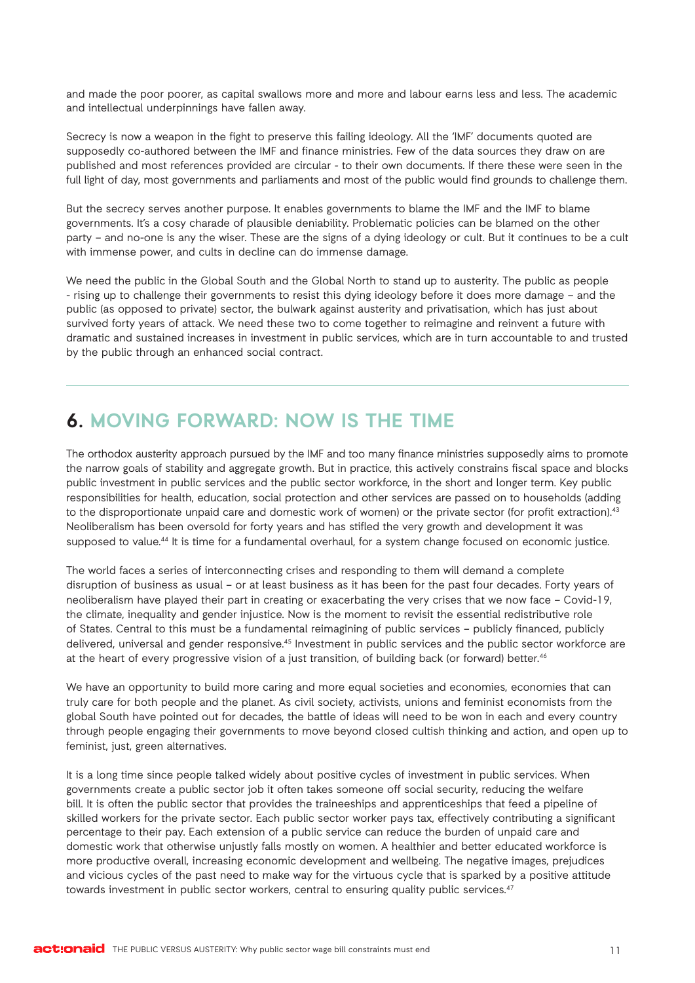and made the poor poorer, as capital swallows more and more and labour earns less and less. The academic and intellectual underpinnings have fallen away.

Secrecy is now a weapon in the fight to preserve this failing ideology. All the 'IMF' documents quoted are supposedly co-authored between the IMF and finance ministries. Few of the data sources they draw on are published and most references provided are circular - to their own documents. If there these were seen in the full light of day, most governments and parliaments and most of the public would find grounds to challenge them.

But the secrecy serves another purpose. It enables governments to blame the IMF and the IMF to blame governments. It's a cosy charade of plausible deniability. Problematic policies can be blamed on the other party – and no-one is any the wiser. These are the signs of a dying ideology or cult. But it continues to be a cult with immense power, and cults in decline can do immense damage.

We need the public in the Global South and the Global North to stand up to austerity. The public as people - rising up to challenge their governments to resist this dying ideology before it does more damage – and the public (as opposed to private) sector, the bulwark against austerity and privatisation, which has just about survived forty years of attack. We need these two to come together to reimagine and reinvent a future with dramatic and sustained increases in investment in public services, which are in turn accountable to and trusted by the public through an enhanced social contract.

## **6. MOVING FORWARD: NOW IS THE TIME**

The orthodox austerity approach pursued by the IMF and too many finance ministries supposedly aims to promote the narrow goals of stability and aggregate growth. But in practice, this actively constrains fiscal space and blocks public investment in public services and the public sector workforce, in the short and longer term. Key public responsibilities for health, education, social protection and other services are passed on to households (adding to the disproportionate unpaid care and domestic work of women) or the private sector (for profit extraction).<sup>43</sup> Neoliberalism has been oversold for forty years and has stifled the very growth and development it was supposed to value.<sup>44</sup> It is time for a fundamental overhaul, for a system change focused on economic justice.

The world faces a series of interconnecting crises and responding to them will demand a complete disruption of business as usual – or at least business as it has been for the past four decades. Forty years of neoliberalism have played their part in creating or exacerbating the very crises that we now face – Covid-19, the climate, inequality and gender injustice. Now is the moment to revisit the essential redistributive role of States. Central to this must be a fundamental reimagining of public services – publicly financed, publicly delivered, universal and gender responsive.45 Investment in public services and the public sector workforce are at the heart of every progressive vision of a just transition, of building back (or forward) better.<sup>46</sup>

We have an opportunity to build more caring and more equal societies and economies, economies that can truly care for both people and the planet. As civil society, activists, unions and feminist economists from the global South have pointed out for decades, the battle of ideas will need to be won in each and every country through people engaging their governments to move beyond closed cultish thinking and action, and open up to feminist, just, green alternatives.

It is a long time since people talked widely about positive cycles of investment in public services. When governments create a public sector job it often takes someone off social security, reducing the welfare bill. It is often the public sector that provides the traineeships and apprenticeships that feed a pipeline of skilled workers for the private sector. Each public sector worker pays tax, effectively contributing a significant percentage to their pay. Each extension of a public service can reduce the burden of unpaid care and domestic work that otherwise unjustly falls mostly on women. A healthier and better educated workforce is more productive overall, increasing economic development and wellbeing. The negative images, prejudices and vicious cycles of the past need to make way for the virtuous cycle that is sparked by a positive attitude towards investment in public sector workers, central to ensuring quality public services.<sup>47</sup>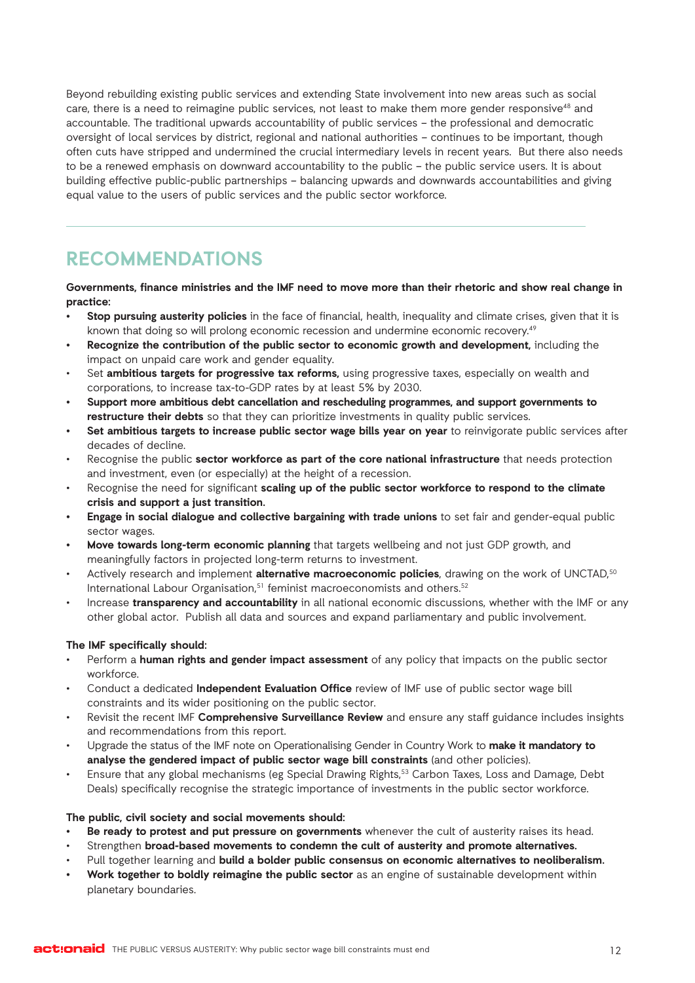Beyond rebuilding existing public services and extending State involvement into new areas such as social care, there is a need to reimagine public services, not least to make them more gender responsive<sup>48</sup> and accountable. The traditional upwards accountability of public services – the professional and democratic oversight of local services by district, regional and national authorities – continues to be important, though often cuts have stripped and undermined the crucial intermediary levels in recent years. But there also needs to be a renewed emphasis on downward accountability to the public – the public service users. It is about building effective public-public partnerships – balancing upwards and downwards accountabilities and giving equal value to the users of public services and the public sector workforce.

## **RECOMMENDATIONS**

**Governments, finance ministries and the IMF need to move more than their rhetoric and show real change in practice:**

- **• Stop pursuing austerity policies** in the face of financial, health, inequality and climate crises, given that it is known that doing so will prolong economic recession and undermine economic recovery.49
- **• Recognize the contribution of the public sector to economic growth and development,** including the impact on unpaid care work and gender equality.
- Set **ambitious targets for progressive tax reforms,** using progressive taxes, especially on wealth and corporations, to increase tax-to-GDP rates by at least 5% by 2030.
- **• Support more ambitious debt cancellation and rescheduling programmes, and support governments to restructure their debts** so that they can prioritize investments in quality public services.
- **• Set ambitious targets to increase public sector wage bills year on year** to reinvigorate public services after decades of decline.
- Recognise the public **sector workforce as part of the core national infrastructure** that needs protection and investment, even (or especially) at the height of a recession.
- Recognise the need for significant **scaling up of the public sector workforce to respond to the climate crisis and support a just transition.**
- **• Engage in social dialogue and collective bargaining with trade unions** to set fair and gender-equal public sector wages.
- **• Move towards long-term economic planning** that targets wellbeing and not just GDP growth, and meaningfully factors in projected long-term returns to investment.
- Actively research and implement **alternative macroeconomic policies**, drawing on the work of UNCTAD,50 International Labour Organisation,<sup>51</sup> feminist macroeconomists and others.<sup>52</sup>
- Increase **transparency and accountability** in all national economic discussions, whether with the IMF or any other global actor. Publish all data and sources and expand parliamentary and public involvement.

#### **The IMF specifically should:**

- Perform a **human rights and gender impact assessment** of any policy that impacts on the public sector workforce.
- Conduct a dedicated **Independent Evaluation Office** review of IMF use of public sector wage bill constraints and its wider positioning on the public sector.
- Revisit the recent IMF **Comprehensive Surveillance Review** and ensure any staff guidance includes insights and recommendations from this report.
- Upgrade the status of the IMF note on Operationalising Gender in Country Work to **make it mandatory to analyse the gendered impact of public sector wage bill constraints** (and other policies).
- Ensure that any global mechanisms (eg Special Drawing Rights,53 Carbon Taxes, Loss and Damage, Debt Deals) specifically recognise the strategic importance of investments in the public sector workforce.

#### **The public, civil society and social movements should:**

- **• Be ready to protest and put pressure on governments** whenever the cult of austerity raises its head.
- Strengthen **broad-based movements to condemn the cult of austerity and promote alternatives.**
- Pull together learning and **build a bolder public consensus on economic alternatives to neoliberalism.**
- **• Work together to boldly reimagine the public sector** as an engine of sustainable development within planetary boundaries.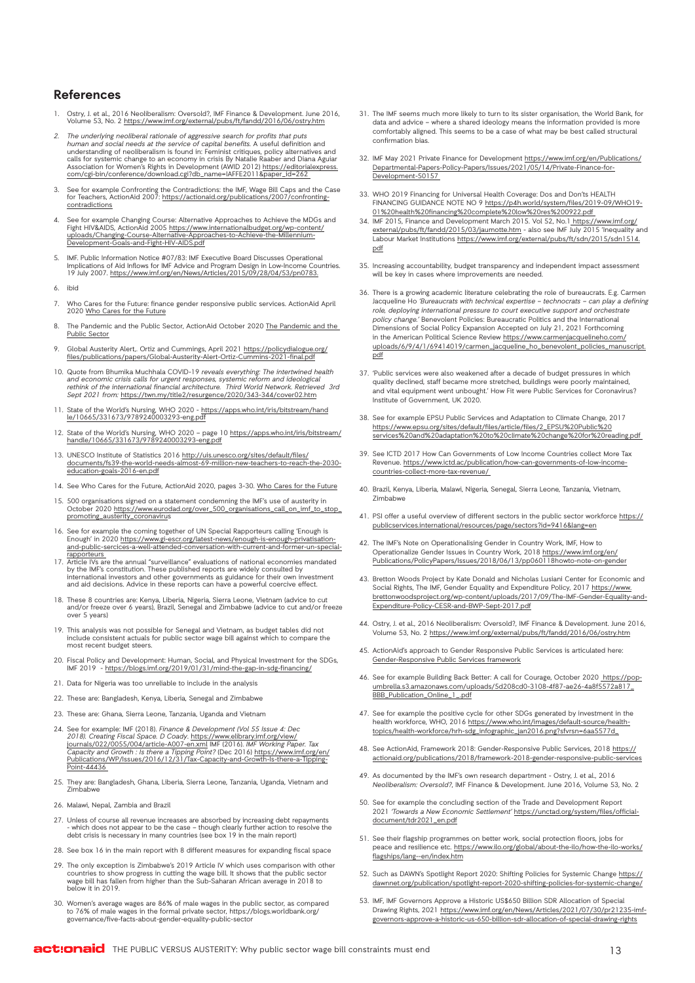#### **References**

- 1. Ostry, J. et al., 2016 Neoliberalism: Oversold?, IMF Finance & Development. June 2016, Volume 53, No. 2<https://www.imf.org/external/pubs/ft/fandd/2016/06/ostry.htm>
- 7. The underlying neoliberal rationale of aggressive search for profits that puts.<br>human and social needs at the service of capital benefits. A useful definition and<br>understanding of neoliberalism is found in: Feminist cri calls for systemic change to an economy in crisis By Natalie Raaber and Diana Aguiar Association for Women's Rights in Development (AWID 2012) [https://editorialexpress.](https://editorialexpress.com/cgi-bin/conference/download.cgi?db_name=IAFFE2011&paper_id=262) om/cgi-bin/conference/download.cgi?db\_name=IAFFE2011&
- 3. See for example Confronting the Contradictions: the IMF, Wage Bill Caps and the Case for Teachers, ActionAid 2007: [https://actionaid.org/publications/2007/confronting](https://actionaid.org/publications/2007/confronting-contradictions)[contradictions](https://actionaid.org/publications/2007/confronting-contradictions)
- 4. See for example Changing Course: Alternative Approaches to Achieve the MDGs and<br>Fight HIV&AIDS, ActionAid 2005 <u>[https://www.internationalbudget.org/wp-content/](https://www.internationalbudget.org/wp-content/uploads/Changing-Course-Alternative-Approaches-to-Achieve-the-Millennium-Development-Goals-and-Fight-HIV-AIDS.pdf)</u><br>uploads/Changing-Course-Alternative-Approaches-to-Achieve-
- 5. IMF. Public Information Notice #07/83: IMF Executive Board Discusses Operational Implications of Aid Inflows for IMF Advice and Program Design in Low-Income Countries. 19 July 2007. [https://www.imf.org/en/News/Articles/2015/09/28/04/53/pn0783.](https://www.imf.org/en/News/Articles/2015/09/28/04/53/pn0783)
- 6. ibid
- 7. Who Cares for the Future: finance gender responsive public services. ActionAid April 2020 [Who Cares for the Future](https://actionaid.org/publications/2020/who-cares-future-finance-gender-responsive-public-services)
- 8. [The Pandemic and the](https://actionaid.org/publications/2020/pandemic-and-public-sector) Public Sector, ActionAid October 2020 The Pandemic and the ublic Sector
- 9. Global Austerity Alert,. Ortiz and Cummings, April 2021 [https://policydialogue.org/](https://policydialogue.org/files/publications/papers/Global-Austerity-Alert-Ortiz-Cummins-2021-final.pdf) [files/publications/papers/Global-Austerity-Alert-Ortiz-Cummins-2021-final.pdf](https://policydialogue.org/files/publications/papers/Global-Austerity-Alert-Ortiz-Cummins-2021-final.pdf)
- 10. Quote from Bhumika Muchhala COVID-19 reveals everything: The intertwined health<br>and economic crisis calls for urgent responses, systemic reform and ideological<br>rethink of the international financial architecture. Third Sept 2021 from: <https://twn.my/title2/resurgence/2020/343-344/cover02.htm>
- 11. State of the World's Nursing, WHO 2020 - [https://apps.who.int/iris/bitstream/hand](https://apps.who.int/iris/bitstream/handle/10665/331673/9789240003293-eng.pdf) [le/10665/331673/9789240003293-eng.pdf](https://apps.who.int/iris/bitstream/handle/10665/331673/9789240003293-eng.pdf)
- 12. State of the World's Nursing, WHO 2020 page 10 [https://apps.who.int/iris/bitstream/](https://apps.who.int/iris/bitstream/handle/10665/331673/9789240003293-eng.pdf) [handle/10665/331673/9789240003293-eng.pdf](https://apps.who.int/iris/bitstream/handle/10665/331673/9789240003293-eng.pdf)
- 13. UNESCO Institute of Statistics 2016 [http://uis.unesco.org/sites/default/files/](http://uis.unesco.org/sites/default/files/documents/fs39-the-world-needs-almost-69-million-new-teachers-to-reach-the-2030-education-goals-2016-en.pdf) [documents/fs39-the-world-needs-almost-69-million-new-teachers-to-reach-the-2030](http://uis.unesco.org/sites/default/files/documents/fs39-the-world-needs-almost-69-million-new-teachers-to-reach-the-2030-education-goals-2016-en.pdf) [education-goals-2016-en.pdf](http://uis.unesco.org/sites/default/files/documents/fs39-the-world-needs-almost-69-million-new-teachers-to-reach-the-2030-education-goals-2016-en.pdf)
- 14. See Who Cares for the Future, ActionAid 2020, pages 3-30. [Who Cares for the Future](https://actionaid.org/publications/2020/who-cares-future-finance-gender-responsive-public-services)
- 15. 500 organisations signed on a statement condemning the IMF's use of austerity in October 2020 [https://www.eurodad.org/over\\_500\\_organisations\\_call\\_on\\_imf\\_to\\_stop\\_](https://www.eurodad.org/over_500_organisations_call_on_imf_to_stop_promoting_austerity_coronavirus) [promoting\\_austerity\\_coronavirus](https://www.eurodad.org/over_500_organisations_call_on_imf_to_stop_promoting_austerity_coronavirus)
- 16. See for example the coming together of UN Special Rapporteurs calling 'Enough is Enough' in 2020 [https://www.gi-escr.org/latest-news/enough-is-enough-privatisation-](https://www.gi-escr.org/latest-news/enough-is-enough-privatisation-and-public-sercices-a-well-attended-conversation-with-current-and-former-un-special-rapporteurs)[and-public-sercices-a-well-attended-conversation-with-current-and-former-un-special](https://www.gi-escr.org/latest-news/enough-is-enough-privatisation-and-public-sercices-a-well-attended-conversation-with-current-and-former-un-special-rapporteurs)**rapporteurs**
- 17. Article IVs are the annual "surveillance" evaluations of national economies mandated<br>by the IMF's constitution. These published reports are widely consulted by<br>international investors and other governments as guidance and aid decisions. Advice in these reports can have a powerful coercive effect.
- 18. These 8 countries are: Kenya, Liberia, Nigeria, Sierra Leone, Vietnam (advice to cut and/or freeze over 6 years), Brazil, Senegal and Zimbabwe (advice to cut and/or freeze over 5 years)
- 19. This analysis was not possible for Senegal and Vietnam, as budget tables did not include consistent actuals for public sector wage bill against which to compare the most recent budget steers.
- 20. Fiscal Policy and Development: Human, Social, and Physical Investment for the SDGs, IMF 2019 - [https://blogs.imf.org/2019/01/31/mind-the-gap-in-sdg-financing/](https://www.imf.org/en/Publications/Staff-Discussion-Notes/Issues/2019/01/18/Fiscal-Policy-and-Development-Human-Social-and-Physical-Investments-for-the-SDGs-46444)
- 21. Data for Nigeria was too unreliable to include in the analysis
- 22. These are: Bangladesh, Kenya, Liberia, Senegal and Zimbabwe
- 23. These are: Ghana, Sierra Leone, Tanzania, Uganda and Vietnam
- 24. See for example: IMF (2018). *Finance & Development (Vol 55 Issue 4: Dec*<br>201*8). Creating Fiscal Space. D Coady.* <u>[https://www.elibrary.imf.org/view/](https://www.elibrary.imf.org/view/journals/022/0055/004/article-A007-en.xml)</u><br>20055/004/article-A007-en.xm<u>l</u> IMF (2016). *IMF Working Paper. Ta* Capacity and Growth : Is there a Tipping Point? (Dec 2016) [https://www.imf.org/en/](https://www.imf.org/en/Publications/WP/Issues/2016/12/31/Tax-Capacity-and-Growth-Is-there-a-Tipping-Point-44436) [Publications/WP/Issues/2016/12/31/Tax-Capacity-and-Growth-Is-there-a-Tipping-](https://www.imf.org/en/Publications/WP/Issues/2016/12/31/Tax-Capacity-and-Growth-Is-there-a-Tipping-Point-44436)[Point-44436](https://www.imf.org/en/Publications/WP/Issues/2016/12/31/Tax-Capacity-and-Growth-Is-there-a-Tipping-Point-44436)
- 25. They are: Bangladesh, Ghana, Liberia, Sierra Leone, Tanzania, Uganda, Vietnam and Zimbabwe
- 26. Malawi, Nepal, Zambia and Brazil
- 27. Unless of course all revenue increases are absorbed by increasing debt repayments<br>- which does not appear to be the case though clearly further action to resolve the - which does not appear to be the case – though clearly further action to resolve the debt crisis is necessary in many countries (see box 19 in the main report)
- 28. See box 16 in the main report with 8 different measures for expanding fiscal space
- 29. The only exception is Zimbabwe's 2019 Article IV which uses comparison with other countries to show progress in cutting the wage bill. It shows that the public sector wage bill has fallen from higher than the Sub-Saharan African average in 2018 to below it in 2019.
- 30. Women's average wages are 86% of male wages in the public sector, as compared to 76% of male wages in the formal private sector, https://blogs.worldbank.org/ governance/five-facts-about-gender-equality-public-sector
- 31. The IMF seems much more likely to turn to its sister organisation, the World Bank, for data and advice – where a shared ideology means the information provided is more comfortably aligned. This seems to be a case of what may be best called structural confirmation bias.
- 32. IMF May 2021 Private Finance for Development [https://www.imf.org/en/Publications/](https://www.imf.org/en/Publications/Departmental-Papers-Policy-Papers/Issues/2021/05/14/Private-Finance-for-Development-50157) [Departmental-Papers-Policy-Papers/Issues/2021/05/14/Private-Finance-for-](https://www.imf.org/en/Publications/Departmental-Papers-Policy-Papers/Issues/2021/05/14/Private-Finance-for-Development-50157)[Development-50157](https://www.imf.org/en/Publications/Departmental-Papers-Policy-Papers/Issues/2021/05/14/Private-Finance-for-Development-50157)
- 33. WHO 2019 Financing for Universal Health Coverage: Dos and Don'ts HEALTH FINANCING GUIDANCE NOTE NO 9 [https://p4h.world/system/files/2019-09/WHO19-](https://p4h.world/system/files/2019-09/WHO19-01%20health%20financing%20complete%20low%20res%200922.pdf) [01%20health%20financing%20complete%20low%20res%200922.pdf](https://p4h.world/system/files/2019-09/WHO19-01%20health%20financing%20complete%20low%20res%200922.pdf)
- 34. IMF 2015, Finance and Development March 2015. Vol 52, No.[1 https://www.imf.org/](https://www.imf.org/external/pubs/ft/fandd/2015/03/jaumotte.htm) [external/pubs/ft/fandd/2015/03/jaumotte.htm](https://www.imf.org/external/pubs/ft/fandd/2015/03/jaumotte.htm) - also see IMF July 2015 'Inequality and Labour Market Institutions [https://www.imf.org/external/pubs/ft/sdn/2015/sdn1514.](https://www.imf.org/external/pubs/ft/sdn/2015/sdn1514.pdf) [pdf](https://www.imf.org/external/pubs/ft/sdn/2015/sdn1514.pdf)
- 35. Increasing accountability, budget transparency and independent impact assessment will be key in cases where improvements are needed.
- 36. There is a growing academic literature celebrating the role of bureaucrats. E.g. Carmen Jacqueline Ho 'Bureaucrats with technical expertise – technocrats – can play a defining role, deploying international pressure to court executive support and orchestrate policy change.' Benevolent Policies: Bureaucratic Politics and the International Dimensions of Social Policy Expansion Accepted on July 21, 2021 Forthcoming in the American Political Science Review [https://www.carmenjacquelineho.com/](https://www.carmenjacquelineho.com/uploads/6/9/4/1/69414019/carmen_jacqueline_ho_benevolent_policies_manuscript.pdf) [uploads/6/9/4/1/69414019/carmen\\_jacqueline\\_ho\\_benevolent\\_policies\\_manuscript.](https://www.carmenjacquelineho.com/uploads/6/9/4/1/69414019/carmen_jacqueline_ho_benevolent_policies_manuscript.pdf) [pdf](https://www.carmenjacquelineho.com/uploads/6/9/4/1/69414019/carmen_jacqueline_ho_benevolent_policies_manuscript.pdf)
- 37. 'Public services were also weakened after a decade of budget pressures in which quality declined, staff became more stretched, buildings were poorly maintained, and vital equipment went unbought.' How Fit were Public Services for Coronavirus? Institute of Government, UK 2020.
- 38. See for example EPSU Public Services and Adaptation to Climate Change, 2017 [https://www.epsu.org/sites/default/files/article/files/2\\_EPSU%20Public%20](https://www.epsu.org/sites/default/files/article/files/2_EPSU%20Public%20services%20and%20adaptation%20to%20climate%20change%20for%20reading.pdf) [services%20and%20adaptation%20to%20climate%20change%20for%20reading.pdf](https://www.epsu.org/sites/default/files/article/files/2_EPSU%20Public%20services%20and%20adaptation%20to%20climate%20change%20for%20reading.pdf)
- 39. See ICTD 2017 How Can Governments of Low Income Countries collect More Tax Revenue. [https://www.ictd.ac/publication/how-can-governments-of-low-income](https://www.ictd.ac/publication/how-can-governments-of-low-income-countries-collect-more-tax-revenue/)[countries-collect-more-tax-revenue/](https://www.ictd.ac/publication/how-can-governments-of-low-income-countries-collect-more-tax-revenue/)
- 40. Brazil, Kenya, Liberia, Malawi, Nigeria, Senegal, Sierra Leone, Tanzania, Vietnam, **Zimbabwe**
- 41. PSI offer a useful overview of different sectors in the public sector workforce [https://](https://publicservices.international/resources/page/sectors?id=9416&lang=en) [publicservices.international/resources/page/sectors?id=9416&lang=en](https://publicservices.international/resources/page/sectors?id=9416&lang=en)
- 42. The IMF's Note on Operationalising Gender in Country Work, IMF, How to Operationalize Gender Issues in Country Work, 2018 [https://www.imf.org/en/](https://www.imf.org/external/error.htm?URL=https://www.imf.org/en/Publications/PolicyPapers/Issues/2018/06/13/pp060118howto-note-on-gender) [Publications/PolicyPapers/Issues/2018/06/13/pp060118howto-note-on-gender](https://www.imf.org/external/error.htm?URL=https://www.imf.org/en/Publications/PolicyPapers/Issues/2018/06/13/pp060118howto-note-on-gender)
- 43. Bretton Woods Project by Kate Donald and Nicholas Lusiani Center for Economic and Social Rights, The IMF, Gender Equality and Expenditure Policy, 2017 [https://www.](https://www.brettonwoodsproject.org/wp-content/uploads/2017/09/The-IMF-Gender-Equality-and-Expenditure-Policy-CESR-and-BWP-Sept-2017.pdf) [brettonwoodsproject.org/wp-content/uploads/2017/09/The-IMF-Gender-Equality-and-](https://www.brettonwoodsproject.org/wp-content/uploads/2017/09/The-IMF-Gender-Equality-and-Expenditure-Policy-CESR-and-BWP-Sept-2017.pdf)[Expenditure-Policy-CESR-and-BWP-Sept-2017.pdf](https://www.brettonwoodsproject.org/wp-content/uploads/2017/09/The-IMF-Gender-Equality-and-Expenditure-Policy-CESR-and-BWP-Sept-2017.pdf)
- 44. Ostry, J. et al., 2016 Neoliberalism: Oversold?, IMF Finance & Development. June 2016, Volume 53, No. 2<https://www.imf.org/external/pubs/ft/fandd/2016/06/ostry.htm>
- 45. ActionAid's approach to Gender Responsive Public Services is articulated here: [Gender-Responsive Public Services framework](https://actionaid.org/publications/2018/framework-2018-gender-responsive-public-services)
- 46. See for example Building Back Better: A call for Courage, October 2020 [https://pop](https://pop-umbrella.s3.amazonaws.com/uploads/5d208cd0-3108-4f87-ae26-4a8f5572a817_BBB_Publication_Online_1_.pdf)[umbrella.s3.amazonaws.com/uploads/5d208cd0-3108-4f87-ae26-4a8f5572a817\\_](https://pop-umbrella.s3.amazonaws.com/uploads/5d208cd0-3108-4f87-ae26-4a8f5572a817_BBB_Publication_Online_1_.pdf) [BBB\\_Publication\\_Online\\_1\\_.pdf](https://pop-umbrella.s3.amazonaws.com/uploads/5d208cd0-3108-4f87-ae26-4a8f5572a817_BBB_Publication_Online_1_.pdf)
- 47. See for example the positive cycle for other SDGs generated by investment in the health workforce, WHO, 2016 [https://www.who.int/images/default-source/health](https://www.who.int/images/default-source/health-topics/health-workforce/hrh-sdg_infographic_jan2016.png?sfvrsn=6aa5577d_)[topics/health-workforce/hrh-sdg\\_infographic\\_jan2016.png?sfvrsn=6aa5577d\\_](https://www.who.int/images/default-source/health-topics/health-workforce/hrh-sdg_infographic_jan2016.png?sfvrsn=6aa5577d_)
- 48. See ActionAid, Framework 2018: Gender-Responsive Public Services, 2018 [https://](https://actionaid.org/publications/2018/framework-2018-gender-responsive-public-services) [actionaid.org/publications/2018/framework-2018-gender-responsive-public-services](https://actionaid.org/publications/2018/framework-2018-gender-responsive-public-services)
- 49. As documented by the IMF's own research department Ostry, J. et al., 2016 Neoliberalism: Oversold?, IMF Finance & Development. June 2016, Volume 53, No. 2
- 50. See for example the concluding section of the Trade and Development Report 2021 'Towards a New Economic Settlement' [https://unctad.org/system/files/official](https://unctad.org/system/files/official-document/tdr2021_en.pdf)[document/tdr2021\\_en.pdf](https://unctad.org/system/files/official-document/tdr2021_en.pdf)
- 51. See their flagship programmes on better work, social protection floors, jobs for peace and resilience etc. [https://www.ilo.org/global/about-the-ilo/how-the-ilo-works/](https://www.ilo.org/global/about-the-ilo/how-the-ilo-works/flagships/lang--en/index.htm) [flagships/lang--en/index.htm](https://www.ilo.org/global/about-the-ilo/how-the-ilo-works/flagships/lang--en/index.htm)
- 52. Such as DAWN's Spotlight Report 2020: Shifting Policies for Systemic Change [https://](https://dawnnet.org/publication/spotlight-report-2020-shifting-policies-for-systemic-change/) [dawnnet.org/publication/spotlight-report-2020-shifting-policies-for-systemic-change/](https://dawnnet.org/publication/spotlight-report-2020-shifting-policies-for-systemic-change/)
- 53. IMF, IMF Governors Approve a Historic US\$650 Billion SDR Allocation of Special Drawing Rights, 2021 [https://www.imf.org/en/News/Articles/2021/07/30/pr21235-imf](https://www.imf.org/en/News/Articles/2021/07/30/pr21235-imf-governors-approve-a-historic-us-650-billion-sdr-allocation-of-special-drawing-rights)[governors-approve-a-historic-us-650-billion-sdr-allocation-of-special-drawing-rights](https://www.imf.org/en/News/Articles/2021/07/30/pr21235-imf-governors-approve-a-historic-us-650-billion-sdr-allocation-of-special-drawing-rights)